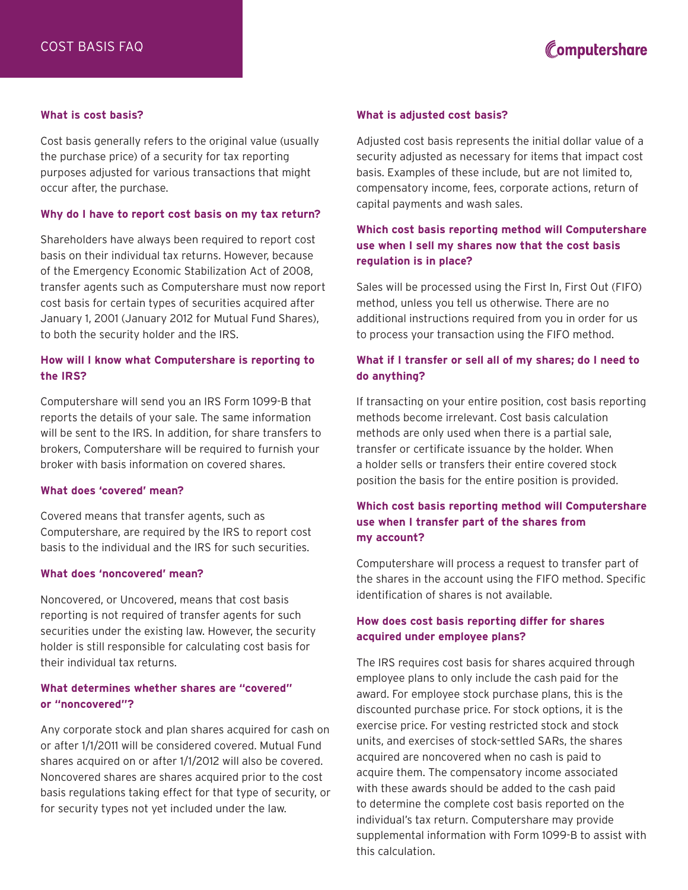# Computershare

#### **What is cost basis?**

Cost basis generally refers to the original value (usually the purchase price) of a security for tax reporting purposes adjusted for various transactions that might occur after, the purchase.

#### **Why do I have to report cost basis on my tax return?**

Shareholders have always been required to report cost basis on their individual tax returns. However, because of the Emergency Economic Stabilization Act of 2008, transfer agents such as Computershare must now report cost basis for certain types of securities acquired after January 1, 2001 (January 2012 for Mutual Fund Shares), to both the security holder and the IRS.

## **How will I know what Computershare is reporting to the IRS?**

Computershare will send you an IRS Form 1099-B that reports the details of your sale. The same information will be sent to the IRS. In addition, for share transfers to brokers, Computershare will be required to furnish your broker with basis information on covered shares.

### **What does 'covered' mean?**

Covered means that transfer agents, such as Computershare, are required by the IRS to report cost basis to the individual and the IRS for such securities.

#### **What does 'noncovered' mean?**

Noncovered, or Uncovered, means that cost basis reporting is not required of transfer agents for such securities under the existing law. However, the security holder is still responsible for calculating cost basis for their individual tax returns.

## **What determines whether shares are "covered" or "noncovered"?**

Any corporate stock and plan shares acquired for cash on or after 1/1/2011 will be considered covered. Mutual Fund shares acquired on or after 1/1/2012 will also be covered. Noncovered shares are shares acquired prior to the cost basis regulations taking effect for that type of security, or for security types not yet included under the law.

#### **What is adjusted cost basis?**

Adjusted cost basis represents the initial dollar value of a security adjusted as necessary for items that impact cost basis. Examples of these include, but are not limited to, compensatory income, fees, corporate actions, return of capital payments and wash sales.

# **Which cost basis reporting method will Computershare use when I sell my shares now that the cost basis regulation is in place?**

Sales will be processed using the First In, First Out (FIFO) method, unless you tell us otherwise. There are no additional instructions required from you in order for us to process your transaction using the FIFO method.

# **What if I transfer or sell all of my shares; do I need to do anything?**

If transacting on your entire position, cost basis reporting methods become irrelevant. Cost basis calculation methods are only used when there is a partial sale, transfer or certificate issuance by the holder. When a holder sells or transfers their entire covered stock position the basis for the entire position is provided.

# **Which cost basis reporting method will Computershare use when I transfer part of the shares from my account?**

Computershare will process a request to transfer part of the shares in the account using the FIFO method. Specific identification of shares is not available.

## **How does cost basis reporting differ for shares acquired under employee plans?**

The IRS requires cost basis for shares acquired through employee plans to only include the cash paid for the award. For employee stock purchase plans, this is the discounted purchase price. For stock options, it is the exercise price. For vesting restricted stock and stock units, and exercises of stock-settled SARs, the shares acquired are noncovered when no cash is paid to acquire them. The compensatory income associated with these awards should be added to the cash paid to determine the complete cost basis reported on the individual's tax return. Computershare may provide supplemental information with Form 1099-B to assist with this calculation.